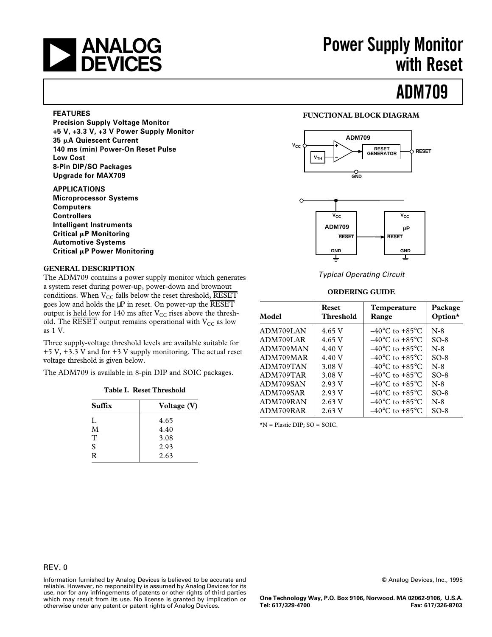

## **ANALOG** Power Supply Monitor<br> **DEVICES** with Reset **with Reset**

## **ADM709**

#### **FEATURES**

**Precision Supply Voltage Monitor +5 V, +3.3 V, +3 V Power Supply Monitor 35** m**A Quiescent Current 140 ms (min) Power-On Reset Pulse Low Cost 8-Pin DIP/SO Packages Upgrade for MAX709**

#### **APPLICATIONS**

**Microprocessor Systems Computers Controllers Intelligent Instruments Critical µP Monitoring Automotive Systems Critical µP Power Monitoring** 

#### **GENERAL DESCRIPTION**

The ADM709 contains a power supply monitor which generates a system reset during power-up, power-down and brownout conditions. When  $V_{CC}$  falls below the reset threshold, RESET goes low and holds the  $\mu$ P in reset. On power-up the  $\overline{\text{RESET}}$ output is held low for 140 ms after  $V_{CC}$  rises above the threshold. The  $\overline{\text{RESET}}$  output remains operational with  $V_{CC}$  as low as 1 V.

Three supply-voltage threshold levels are available suitable for +5 V, +3.3 V and for +3 V supply monitoring. The actual reset voltage threshold is given below.

The ADM709 is available in 8-pin DIP and SOIC packages.

|  |  | Table I. Reset Threshold |
|--|--|--------------------------|
|--|--|--------------------------|

| Suffix | Voltage (V) |
|--------|-------------|
| L      | 4.65        |
| M      | 4.40        |
| T      | 3.08        |
| S      | 2.93        |
| R      | 2.63        |

## **FUNCTIONAL BLOCK DIAGRAM**



Typical Operating Circuit

## **ORDERING GUIDE**

| Model     | <b>Reset</b><br><b>Threshold</b> | Temperature<br>Range               | Package<br>Option $\star$ |
|-----------|----------------------------------|------------------------------------|---------------------------|
| ADM709LAN | 4.65 V                           | $-40^{\circ}$ C to $+85^{\circ}$ C | $N-8$                     |
| ADM709LAR | 4.65 V                           | $-40^{\circ}$ C to $+85^{\circ}$ C | $SO-8$                    |
| ADM709MAN | 4.40 V                           | $-40^{\circ}$ C to $+85^{\circ}$ C | $N-8$                     |
| ADM709MAR | 4.40 V                           | $-40^{\circ}$ C to $+85^{\circ}$ C | $SO-8$                    |
| ADM709TAN | 3.08 V                           | $-40^{\circ}$ C to $+85^{\circ}$ C | $N-8$                     |
| ADM709TAR | 3.08 V                           | $-40^{\circ}$ C to $+85^{\circ}$ C | $SO-8$                    |
| ADM709SAN | 2.93 V                           | $-40^{\circ}$ C to $+85^{\circ}$ C | $N-8$                     |
| ADM709SAR | 2.93 V                           | $-40^{\circ}$ C to $+85^{\circ}$ C | $SO-8$                    |
| ADM709RAN | 2.63 V                           | $-40^{\circ}$ C to $+85^{\circ}$ C | $N-8$                     |
| ADM709RAR | 2.63 V                           | $-40^{\circ}$ C to $+85^{\circ}$ C | $SO-8$                    |

\*N = Plastic DIP; SO = SOIC.

Information furnished by Analog Devices is believed to be accurate and reliable. However, no responsibility is assumed by Analog Devices for its use, nor for any infringements of patents or other rights of third parties which may result from its use. No license is granted by implication or otherwise under any patent or patent rights of Analog Devices.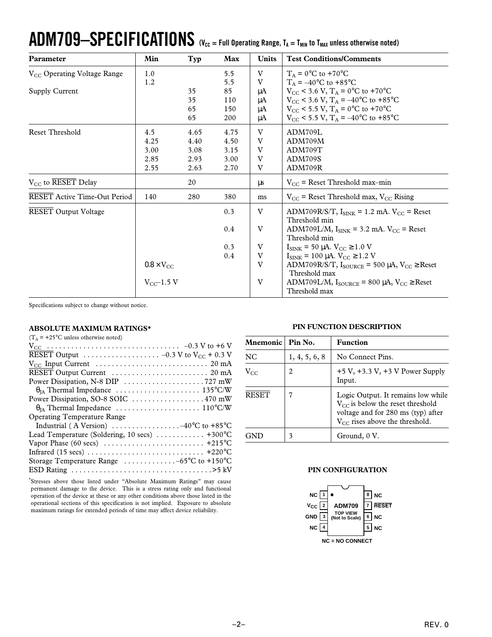# $ADM709 - SPECIFICATIONS$  (V<sub>CC = Full Operating Range, T<sub>A</sub> = T<sub>MIN</sub> to T<sub>MAX</sub> unless otherwise noted)</sub>

| Parameter                               | Min                 | Typ  | Max  | <b>Units</b> | <b>Test Conditions/Comments</b>                                          |
|-----------------------------------------|---------------------|------|------|--------------|--------------------------------------------------------------------------|
| V <sub>CC</sub> Operating Voltage Range | 1.0                 |      | 5.5  | V            | $T_A = 0$ °C to +70°C                                                    |
|                                         | 1.2                 |      | 5.5  | V            | $T_A = -40$ °C to +85°C                                                  |
| Supply Current                          |                     | 35   | 85   | μA           | $V_{CC}$ < 3.6 V, $T_A$ = 0°C to +70°C                                   |
|                                         |                     | 35   | 110  | μA           | $V_{\text{CC}}$ < 3.6 V, T <sub>A</sub> = -40°C to +85°C                 |
|                                         |                     | 65   | 150  | μA           | $V_{\rm CC}$ < 5.5 V, T <sub>A</sub> = 0°C to +70°C                      |
|                                         |                     | 65   | 200  | μA           | $V_{\text{CC}}$ < 5.5 V, T <sub>A</sub> = -40°C to +85°C                 |
| Reset Threshold                         | 4.5                 | 4.65 | 4.75 | V            | ADM709L                                                                  |
|                                         | 4.25                | 4.40 | 4.50 | V            | ADM709M                                                                  |
|                                         | 3.00                | 3.08 | 3.15 | V            | ADM709T                                                                  |
|                                         | 2.85                | 2.93 | 3.00 | V            | ADM709S                                                                  |
|                                         | 2.55                | 2.63 | 2.70 | V            | ADM709R                                                                  |
| $V_{CC}$ to RESET Delay                 |                     | 20   |      | μs           | $V_{CC}$ = Reset Threshold max-min                                       |
| <b>RESET Active Time-Out Period</b>     | 140                 | 280  | 380  | ms           | $V_{CC}$ = Reset Threshold max, $V_{CC}$ Rising                          |
| <b>RESET Output Voltage</b>             |                     |      | 0.3  | V            | $\Delta$ DM709R/S/T, I <sub>SINK</sub> = 1.2 mA, V <sub>CC</sub> = Reset |
|                                         |                     |      |      |              | Threshold min                                                            |
|                                         |                     |      | 0.4  | V            | ADM709L/M, $I_{\text{SINK}}$ = 3.2 mA. $V_{\text{CC}}$ = Reset           |
|                                         |                     |      |      |              | Threshold min                                                            |
|                                         |                     |      | 0.3  | V            | $I_{\text{SINK}}$ = 50 µA. $V_{\text{CC}}$ ≥ 1.0 V                       |
|                                         |                     |      | 0.4  | V            | $I_{\text{SINK}} = 100 \mu A$ . $V_{CC} \ge 1.2 V$                       |
|                                         | $0.8 \times V_{CC}$ |      |      | V            | ADM709R/S/T, $I_{\text{SOURCE}}$ = 500 µA, $V_{\text{CC}} \geq$ Reset    |
|                                         |                     |      |      |              | Threshold max                                                            |
|                                         | $V_{CC}$ -1.5 V     |      |      | V            | ADM709L/M, $I_{\text{SOLRCE}}$ = 800 µA, $V_{CC} \geq$ Reset             |
|                                         |                     |      |      |              | Threshold max                                                            |

Specifications subject to change without notice.

#### **ABSOLUTE MAXIMUM RATINGS\***

| $(T_A = +25$ °C unless otherwise noted)                                                    |
|--------------------------------------------------------------------------------------------|
|                                                                                            |
| RESET Output $\ldots \ldots \ldots \ldots \ldots \ldots -0.3$ V to V <sub>CC</sub> + 0.3 V |
|                                                                                            |
|                                                                                            |
|                                                                                            |
|                                                                                            |
|                                                                                            |
|                                                                                            |
| <b>Operating Temperature Range</b>                                                         |
| Industrial (A Version) $\dots \dots \dots \dots \dots -40^{\circ}C$ to +85 °C              |
| Lead Temperature (Soldering, 10 secs)  +300°C                                              |
|                                                                                            |
|                                                                                            |
| Storage Temperature Range $\dots \dots \dots \dots -65$ °C to +150°C                       |
|                                                                                            |

\* Stresses above those listed under "Absolute Maximum Ratings" may cause permanent damage to the device. This is a stress rating only and functional operation of the device at these or any other conditions above those listed in the operational sections of this specification is not implied. Exposure to absolute maximum ratings for extended periods of time may affect device reliability.

#### **PIN FUNCTION DESCRIPTION**

| Mnemonic     | Pin No.       | Function                                                                                                                                                 |
|--------------|---------------|----------------------------------------------------------------------------------------------------------------------------------------------------------|
| NC.          | 1, 4, 5, 6, 8 | No Connect Pins.                                                                                                                                         |
| $V_{CC}$     | 2             | $+5$ V, $+3.3$ V, $+3$ V Power Supply<br>Input.                                                                                                          |
| <b>RESET</b> |               | Logic Output. It remains low while<br>$V_{CC}$ is below the reset threshold<br>voltage and for 280 ms (typ) after<br>$V_{CC}$ rises above the threshold. |
|              | 3             | Ground, 0 V.                                                                                                                                             |

## **PIN CONFIGURATION**

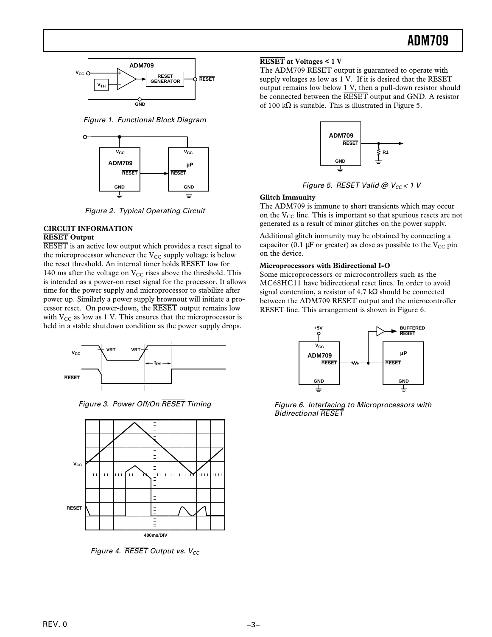

Figure 1. Functional Block Diagram



Figure 2. Typical Operating Circuit

## **CIRCUIT INFORMATION RESET Output**

RESET is an active low output which provides a reset signal to the microprocessor whenever the  $V_{CC}$  supply voltage is below the reset threshold. An internal timer holds RESET low for 140 ms after the voltage on  $V_{CC}$  rises above the threshold. This is intended as a power-on reset signal for the processor. It allows time for the power supply and microprocessor to stabilize after power up. Similarly a power supply brownout will initiate a processor reset. On power-down, the RESET output remains low with  $V_{CC}$  as low as 1 V. This ensures that the microprocessor is held in a stable shutdown condition as the power supply drops.



Figure 3. Power Off/On *RESET* Timing



Figure 4.  $\overline{\text{RESET}}$  Output vs.  $V_{CC}$ 

## **RESET at Voltages < 1 V**

The ADM709 RESET output is guaranteed to operate with supply voltages as low as  $1$  V. If it is desired that the  $\overline{\text{RESET}}$ output remains low below 1 V, then a pull-down resistor should be connected between the RESET output and GND. A resistor of 100 k $\Omega$  is suitable. This is illustrated in Figure 5.



Figure 5.  $\overline{RESET}$  Valid @  $V_{CC}$  < 1 V

## **Glitch Immunity**

The ADM709 is immune to short transients which may occur on the  $V_{CC}$  line. This is important so that spurious resets are not generated as a result of minor glitches on the power supply.

Additional glitch immunity may be obtained by connecting a capacitor (0.1  $\mu$ F or greater) as close as possible to the V<sub>CC</sub> pin on the device.

#### **Microprocessors with Bidirectional I-O**

Some microprocessors or microcontrollers such as the MC68HC11 have bidirectional reset lines. In order to avoid signal contention, a resistor of 4.7 kΩ should be connected between the ADM709 RESET output and the microcontroller RESET line. This arrangement is shown in Figure 6.



Figure 6. Interfacing to Microprocessors with Bidirectional *RESET*